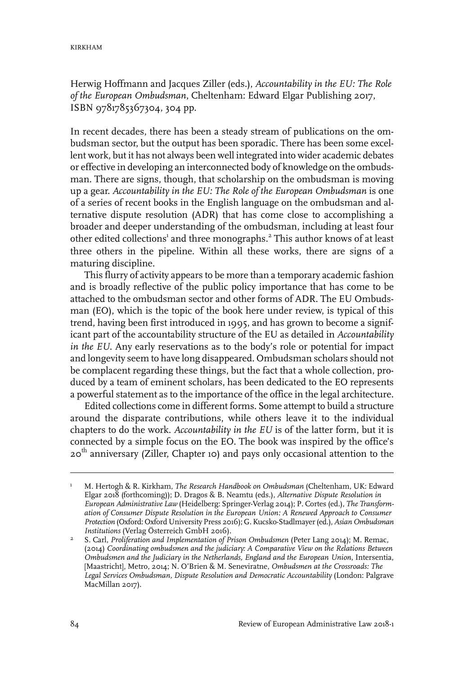Herwig Hoffmann and Jacques Ziller (eds.), *Accountability in the EU: The Role of the European Ombudsman*, Cheltenham: Edward Elgar Publishing 2017, ISBN 9781785367304, 304 pp.

In recent decades, there has been a steady stream of publications on the ombudsman sector, but the output has been sporadic. There has been some excellent work, but it has not always been well integrated into wider academic debates or effective in developing an interconnected body of knowledge on the ombudsman. There are signs, though, that scholarship on the ombudsman is moving up a gear. *Accountability in the EU: The Role of the European Ombudsman* is one of a series of recent books in the English language on the ombudsman and alternative dispute resolution (ADR) that has come close to accomplishing a broader and deeper understanding of the ombudsman, including at least four other edited collections' and three monographs.<sup>2</sup> This author knows of at least three others in the pipeline. Within all these works, there are signs of a maturing discipline.

This flurry of activity appears to be more than a temporary academic fashion and is broadly reflective of the public policy importance that has come to be attached to the ombudsman sector and other forms of ADR. The EU Ombudsman (EO), which is the topic of the book here under review, is typical of this trend, having been first introduced in 1995, and has grown to become a significant part of the accountability structure of the EU as detailed in *Accountability in the EU*. Any early reservations as to the body's role or potential for impact and longevity seem to have long disappeared. Ombudsman scholars should not be complacent regarding these things, but the fact that a whole collection, produced by a team of eminent scholars, has been dedicated to the EO represents a powerful statement as to the importance of the office in the legal architecture.

Edited collections come in different forms. Some attempt to build a structure around the disparate contributions, while others leave it to the individual chapters to do the work. *Accountability in the EU* is of the latter form, but it is connected by a simple focus on the EO. The book was inspired by the office's 20<sup>th</sup> anniversary (Ziller, Chapter 10) and pays only occasional attention to the

M. Hertogh & R. Kirkham, *The Research Handbook on Ombudsman* (Cheltenham, UK: Edward Elgar 2018 (forthcoming)); D. Dragos & B. Neamtu (eds.), *Alternative Dispute Resolution in* 1 *European Administrative Law* (Heidelberg: Springer-Verlag 2014); P. Cortes (ed.), *The Transformation of Consumer Dispute Resolution in the European Union: A Renewed Approach to Consumer Protection* (Oxford: Oxford University Press 2016); G. Kucsko-Stadlmayer(ed.), *Asian Ombudsman Institutions* (Verlag Österreich GmbH 2016).

S. Carl, *Proliferation and Implementation of Prison Ombudsmen* (Peter Lang 2014); M. Remac, (2014) *Coordinating ombudsmen and the judiciary: A Comparative View on the Relations Between* 2 *Ombudsmen and the Judiciary in the Netherlands, England and the European Union*,Intersentia, [Maastricht], Metro, 2014; N. O'Brien & M. Seneviratne, *Ombudsmen at the Crossroads: The Legal Services Ombudsman, Dispute Resolution and Democratic Accountability* (London: Palgrave MacMillan 2017).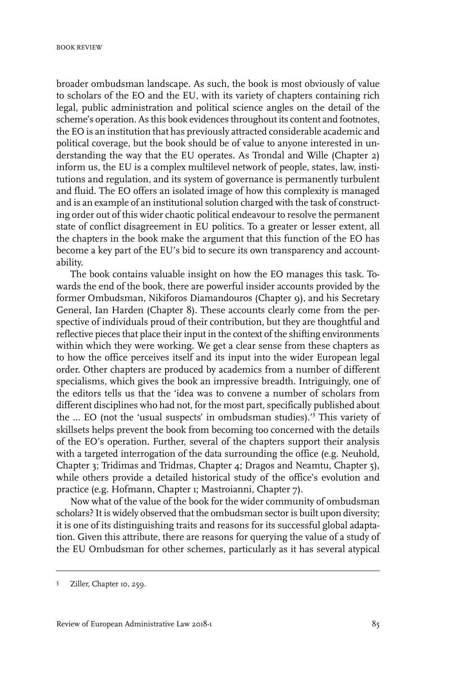broader ombudsman landscape. As such, the book is most obviously of value to scholars of the EO and the EU, with its variety of chapters containing rich legal, public administration and political science angles on the detail of the scheme's operation. As this book evidences throughout its content and footnotes, the EO is an institution that has previously attracted considerable academic and political coverage, but the book should be of value to anyone interested in understanding the way that the EU operates. As Trondal and Wille (Chapter 2) inform us, the EU is a complex multilevel network of people, states, law, institutions and regulation, and its system of governance is permanently turbulent and fluid. The EO offers an isolated image of how this complexity is managed and is an example of an institutional solution charged with the task of constructing order out of this wider chaotic political endeavour to resolve the permanent state of conflict disagreement in EU politics. To a greater or lesser extent, all the chapters in the book make the argument that this function of the EO has become a key part of the EU's bid to secure its own transparency and accountability.

The book contains valuable insight on how the EO manages this task. Towards the end of the book, there are powerful insider accounts provided by the former Ombudsman, Nikiforos Diamandouros (Chapter 9), and his Secretary General, Ian Harden (Chapter 8). These accounts clearly come from the perspective of individuals proud of their contribution, but they are thoughtful and reflective pieces that place their input in the context of the shifting environments within which they were working. We get a clear sense from these chapters as to how the office perceives itself and its input into the wider European legal order. Other chapters are produced by academics from a number of different specialisms, which gives the book an impressive breadth. Intriguingly, one of the editors tells us that the 'idea was to convene a number of scholars from different disciplines who had not, for the most part, specifically published about the … EO (not the 'usual suspects' in ombudsman studies).'<sup>3</sup> This variety of skillsets helps prevent the book from becoming too concerned with the details of the EO's operation. Further, several of the chapters support their analysis with a targeted interrogation of the data surrounding the office (e.g. Neuhold, Chapter 3; Tridimas and Tridmas, Chapter 4; Dragos and Neamtu, Chapter 5), while others provide a detailed historical study of the office's evolution and practice (e.g. Hofmann, Chapter 1; Mastroianni, Chapter 7).

Now what of the value of the book for the wider community of ombudsman scholars? It is widely observed that the ombudsman sector is built upon diversity; it is one of its distinguishing traits and reasons for its successful global adaptation. Given this attribute, there are reasons for querying the value of a study of the EU Ombudsman for other schemes, particularly as it has several atypical

<sup>&</sup>lt;sup>3</sup> Ziller, Chapter 10, 259.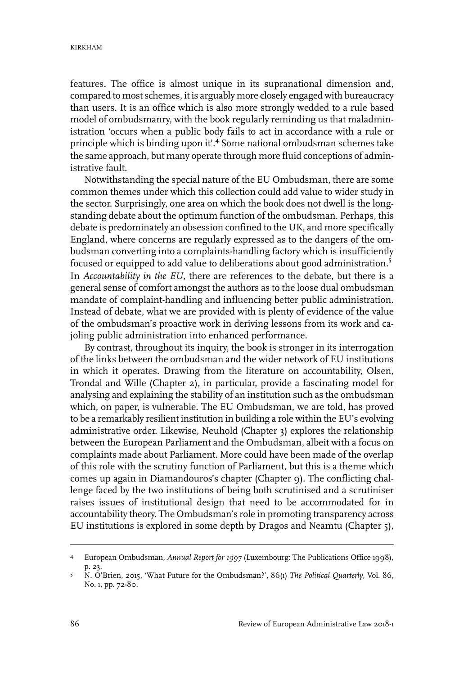features. The office is almost unique in its supranational dimension and, compared to most schemes, it is arguably more closely engaged with bureaucracy than users. It is an office which is also more strongly wedded to a rule based model of ombudsmanry, with the book regularly reminding us that maladministration 'occurs when a public body fails to act in accordance with a rule or principle which is binding upon it'.<sup>4</sup> Some national ombudsman schemes take the same approach, but many operate through more fluid conceptions of administrative fault.

Notwithstanding the special nature of the EU Ombudsman, there are some common themes under which this collection could add value to wider study in the sector. Surprisingly, one area on which the book does not dwell is the longstanding debate about the optimum function of the ombudsman. Perhaps, this debate is predominately an obsession confined to the UK, and more specifically England, where concerns are regularly expressed as to the dangers of the ombudsman converting into a complaints-handling factory which is insufficiently focused or equipped to add value to deliberations about good administration.<sup>5</sup> In *Accountability in the EU*, there are references to the debate, but there is a general sense of comfort amongst the authors as to the loose dual ombudsman mandate of complaint-handling and influencing better public administration. Instead of debate, what we are provided with is plenty of evidence of the value of the ombudsman's proactive work in deriving lessons from its work and cajoling public administration into enhanced performance.

By contrast, throughout its inquiry, the book is stronger in its interrogation of the links between the ombudsman and the wider network of EU institutions in which it operates. Drawing from the literature on accountability, Olsen, Trondal and Wille (Chapter 2), in particular, provide a fascinating model for analysing and explaining the stability of an institution such as the ombudsman which, on paper, is vulnerable. The EU Ombudsman, we are told, has proved to be a remarkably resilient institution in building a role within the EU's evolving administrative order. Likewise, Neuhold (Chapter 3) explores the relationship between the European Parliament and the Ombudsman, albeit with a focus on complaints made about Parliament. More could have been made of the overlap of this role with the scrutiny function of Parliament, but this is a theme which comes up again in Diamandouros's chapter (Chapter 9). The conflicting challenge faced by the two institutions of being both scrutinised and a scrutiniser raises issues of institutional design that need to be accommodated for in accountability theory. The Ombudsman's role in promoting transparency across EU institutions is explored in some depth by Dragos and Neamtu (Chapter 5),

European Ombudsman, *Annual Report for 1997* (Luxembourg: The Publications Office 1998), p. 23. 4

N. O'Brien, 2015, 'What Future for the Ombudsman?', 86(1) *The Political Quarterly*, Vol. 86, No. 1, pp. 72-80. 5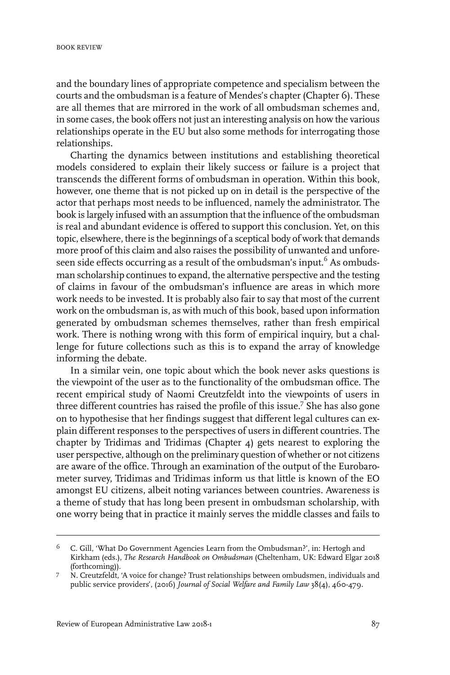and the boundary lines of appropriate competence and specialism between the courts and the ombudsman is a feature of Mendes's chapter (Chapter 6). These are all themes that are mirrored in the work of all ombudsman schemes and, in some cases, the book offers not just an interesting analysis on how the various relationships operate in the EU but also some methods for interrogating those relationships.

Charting the dynamics between institutions and establishing theoretical models considered to explain their likely success or failure is a project that transcends the different forms of ombudsman in operation. Within this book, however, one theme that is not picked up on in detail is the perspective of the actor that perhaps most needs to be influenced, namely the administrator. The book is largely infused with an assumption that the influence of the ombudsman is real and abundant evidence is offered to support this conclusion. Yet, on this topic, elsewhere, there is the beginnings of a sceptical body of work that demands more proof of this claim and also raises the possibility of unwanted and unforeseen side effects occurring as a result of the ombudsman's input.<sup>6</sup> As ombudsman scholarship continues to expand, the alternative perspective and the testing of claims in favour of the ombudsman's influence are areas in which more work needs to be invested. It is probably also fair to say that most of the current work on the ombudsman is, as with much of this book, based upon information generated by ombudsman schemes themselves, rather than fresh empirical work. There is nothing wrong with this form of empirical inquiry, but a challenge for future collections such as this is to expand the array of knowledge informing the debate.

In a similar vein, one topic about which the book never asks questions is the viewpoint of the user as to the functionality of the ombudsman office. The recent empirical study of Naomi Creutzfeldt into the viewpoints of users in three different countries has raised the profile of this issue.<sup>7</sup> She has also gone on to hypothesise that her findings suggest that different legal cultures can explain different responses to the perspectives of users in different countries. The chapter by Tridimas and Tridimas (Chapter 4) gets nearest to exploring the user perspective, although on the preliminary question of whether or not citizens are aware of the office. Through an examination of the output of the Eurobarometer survey, Tridimas and Tridimas inform us that little is known of the EO amongst EU citizens, albeit noting variances between countries. Awareness is a theme of study that has long been present in ombudsman scholarship, with one worry being that in practice it mainly serves the middle classes and fails to

C. Gill, 'What Do Government Agencies Learn from the Ombudsman?', in: Hertogh and Kirkham (eds.), *The Research Handbook on Ombudsman* (Cheltenham, UK: Edward Elgar 2018 (forthcoming)). 6

N. Creutzfeldt, 'A voice for change? Trust relationships between ombudsmen, individuals and public service providers', (2016) *Journal of Social Welfare and Family Law* 38(4), 460-479. 7